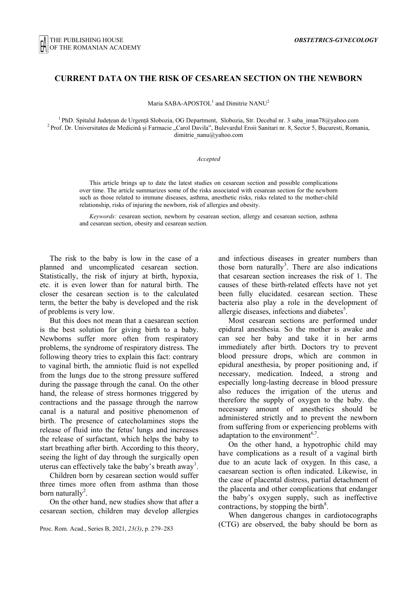# **CURRENT DATA ON THE RISK OF CESAREAN SECTION ON THE NEWBORN**

Maria SABA-APOSTOL<sup>1</sup> and Dimitrie NANU<sup>2</sup>

<sup>1</sup> PhD. Spitalul Județean de Urgență Slobozia, OG Department, Slobozia, Str. Decebal nr. 3 saba\_iman78@yahoo.com<br><sup>2</sup> Prof. Dr. Universitatea de Medicină și Farmacie "Carol Davila", Bulevardul Eroii Sanitari nr. 8, Sector dimitrie\_nanu@yahoo.com

#### *Accepted*

This article brings up to date the latest studies on cesarean section and possible complications over time. The article summarizes some of the risks associated with cesarean section for the newborn such as those related to immune diseases, asthma, anesthetic risks, risks related to the mother-child relationship, risks of injuring the newborn, risk of allergies and obesity.

*Keywords:* cesarean section, newborn by cesarean section, allergy and cesarean section, asthma and cesarean section, obesity and cesarean section.

The risk to the baby is low in the case of a planned and uncomplicated cesarean section. Statistically, the risk of injury at birth, hypoxia, etc. it is even lower than for natural birth. The closer the cesarean section is to the calculated term, the better the baby is developed and the risk of problems is very low.

 But this does not mean that a caesarean section is the best solution for giving birth to a baby. Newborns suffer more often from respiratory problems, the syndrome of respiratory distress. The following theory tries to explain this fact: contrary to vaginal birth, the amniotic fluid is not expelled from the lungs due to the strong pressure suffered during the passage through the canal. On the other hand, the release of stress hormones triggered by contractions and the passage through the narrow canal is a natural and positive phenomenon of birth. The presence of catecholamines stops the release of fluid into the fetus' lungs and increases the release of surfactant, which helps the baby to start breathing after birth. According to this theory, seeing the light of day through the surgically open uterus can effectively take the baby's breath  $a$ way<sup>1</sup>.

 Children born by cesarean section would suffer three times more often from asthma than those born naturally<sup>2</sup>.

 On the other hand, new studies show that after a cesarean section, children may develop allergies

Proc. Rom. Acad., Series B, 2021, *23(3)*, p. 279–283

and infectious diseases in greater numbers than those born naturally<sup>3</sup>. There are also indications that cesarean section increases the risk of 1. The causes of these birth-related effects have not yet been fully elucidated. cesarean section. These bacteria also play a role in the development of allergic diseases, infections and diabetes $5$ .

 Most cesarean sections are performed under epidural anesthesia. So the mother is awake and can see her baby and take it in her arms immediately after birth. Doctors try to prevent blood pressure drops, which are common in epidural anesthesia, by proper positioning and, if necessary, medication. Indeed, a strong and especially long-lasting decrease in blood pressure also reduces the irrigation of the uterus and therefore the supply of oxygen to the baby. the necessary amount of anesthetics should be administered strictly and to prevent the newborn from suffering from or experiencing problems with adaptation to the environment<sup>6,7</sup>.

 On the other hand, a hypotrophic child may have complications as a result of a vaginal birth due to an acute lack of oxygen. In this case, a caesarean section is often indicated. Likewise, in the case of placental distress, partial detachment of the placenta and other complications that endanger the baby's oxygen supply, such as ineffective contractions, by stopping the birth<sup>8</sup>.

 When dangerous changes in cardiotocographs (CTG) are observed, the baby should be born as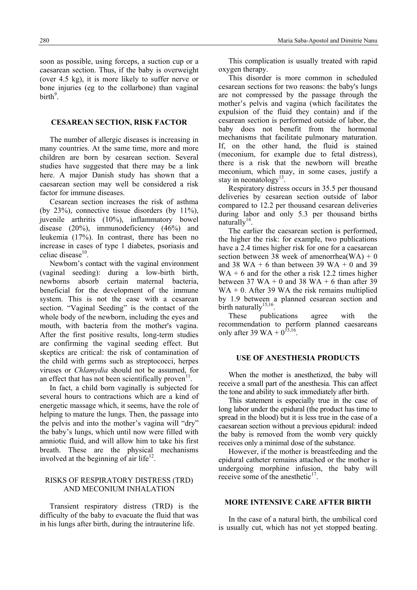soon as possible, using forceps, a suction cup or a caesarean section. Thus, if the baby is overweight (over 4.5 kg), it is more likely to suffer nerve or bone injuries (eg to the collarbone) than vaginal birth<sup>9</sup>.

# **CESAREAN SECTION, RISK FACTOR**

 The number of allergic diseases is increasing in many countries. At the same time, more and more children are born by cesarean section. Several studies have suggested that there may be a link here. A major Danish study has shown that a caesarean section may well be considered a risk factor for immune diseases.

 Cesarean section increases the risk of asthma (by  $23\%$ ), connective tissue disorders (by  $11\%$ ), juvenile arthritis (10%), inflammatory bowel disease (20%), immunodeficiency (46%) and leukemia (17%). In contrast, there has been no increase in cases of type 1 diabetes, psoriasis and celiac disease<sup>10</sup>

 Newborn's contact with the vaginal environment (vaginal seeding): during a low-birth birth, newborns absorb certain maternal bacteria beneficial for the development of the immune system. This is not the case with a cesarean section. "Vaginal Seeding" is the contact of the whole body of the newborn, including the eyes and mouth, with bacteria from the mother's vagina. After the first positive results, long-term studies are confirming the vaginal seeding effect. But skeptics are critical: the risk of contamination of the child with germs such as streptococci, herpes viruses or *Chlamydia* should not be assumed, for an effect that has not been scientifically proven<sup>11</sup>.

 In fact, a child born vaginally is subjected for several hours to contractions which are a kind of energetic massage which, it seems, have the role of helping to mature the lungs. Then, the passage into the pelvis and into the mother's vagina will "dry" the baby's lungs, which until now were filled with amniotic fluid, and will allow him to take his first breath. These are the physical mechanisms involved at the beginning of air life $12$ .

# RISKS OF RESPIRATORY DISTRESS (TRD) AND MECONIUM INHALATION

 Transient respiratory distress (TRD) is the difficulty of the baby to evacuate the fluid that was in his lungs after birth, during the intrauterine life.

 This complication is usually treated with rapid oxygen therapy.

 This disorder is more common in scheduled cesarean sections for two reasons: the baby's lungs are not compressed by the passage through the mother's pelvis and vagina (which facilitates the expulsion of the fluid they contain) and if the cesarean section is performed outside of labor, the baby does not benefit from the hormonal mechanisms that facilitate pulmonary maturation. If, on the other hand, the fluid is stained (meconium, for example due to fetal distress), there is a risk that the newborn will breathe meconium, which may, in some cases, justify a stay in neonatology<sup>13</sup>.

 Respiratory distress occurs in 35.5 per thousand deliveries by cesarean section outside of labor compared to 12.2 per thousand cesarean deliveries during labor and only 5.3 per thousand births naturally $14$ .

 The earlier the caesarean section is performed, the higher the risk: for example, two publications have a 2.4 times higher risk for one for a caesarean section between 38 week of amenorrhea(WA) + 0 and 38 WA + 6 than between 39 WA + 0 and 39  $WA + 6$  and for the other a risk 12.2 times higher between 37 WA + 0 and 38 WA + 6 than after 39  $WA + 0$ . After 39 WA the risk remains multiplied by 1.9 between a planned cesarean section and birth naturally<sup>15,16</sup>

 These publications agree with the recommendation to perform planned caesareans only after 39 WA +  $0^{15,16}$ .

## **USE OF ANESTHESIA PRODUCTS**

 When the mother is anesthetized, the baby will receive a small part of the anesthesia. This can affect the tone and ability to suck immediately after birth.

 This statement is especially true in the case of long labor under the epidural (the product has time to spread in the blood) but it is less true in the case of a caesarean section without a previous epidural: indeed the baby is removed from the womb very quickly receives only a minimal dose of the substance.

 However, if the mother is breastfeeding and the epidural catheter remains attached or the mother is undergoing morphine infusion, the baby will receive some of the anesthetic $17$ .

# **MORE INTENSIVE CARE AFTER BIRTH**

 In the case of a natural birth, the umbilical cord is usually cut, which has not yet stopped beating.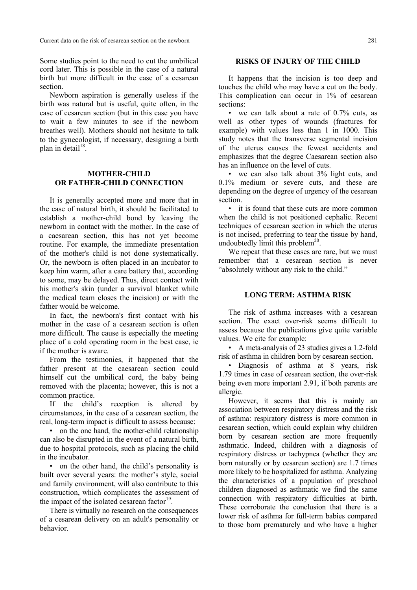Some studies point to the need to cut the umbilical cord later. This is possible in the case of a natural birth but more difficult in the case of a cesarean section.

 Newborn aspiration is generally useless if the birth was natural but is useful, quite often, in the case of cesarean section (but in this case you have to wait a few minutes to see if the newborn breathes well). Mothers should not hesitate to talk to the gynecologist, if necessary, designing a birth plan in detail $18$ .

# **MOTHER-CHILD OR FATHER-CHILD CONNECTION**

 It is generally accepted more and more that in the case of natural birth, it should be facilitated to establish a mother-child bond by leaving the newborn in contact with the mother. In the case of a caesarean section, this has not yet become routine. For example, the immediate presentation of the mother's child is not done systematically. Or, the newborn is often placed in an incubator to keep him warm, after a care battery that, according to some, may be delayed. Thus, direct contact with his mother's skin (under a survival blanket while the medical team closes the incision) or with the father would be welcome.

 In fact, the newborn's first contact with his mother in the case of a cesarean section is often more difficult. The cause is especially the meeting place of a cold operating room in the best case, ie if the mother is aware.

 From the testimonies, it happened that the father present at the caesarean section could himself cut the umbilical cord, the baby being removed with the placenta; however, this is not a common practice.

 If the child's reception is altered by circumstances, in the case of a cesarean section, the real, long-term impact is difficult to assess because:

• on the one hand, the mother-child relationship can also be disrupted in the event of a natural birth, due to hospital protocols, such as placing the child in the incubator.

• on the other hand, the child's personality is built over several years: the mother's style, social and family environment, will also contribute to this construction, which complicates the assessment of the impact of the isolated cesarean factor $19$ .

 There is virtually no research on the consequences of a cesarean delivery on an adult's personality or behavior.

## **RISKS OF INJURY OF THE CHILD**

 It happens that the incision is too deep and touches the child who may have a cut on the body. This complication can occur in 1% of cesarean sections:

• we can talk about a rate of 0.7% cuts, as well as other types of wounds (fractures for example) with values less than 1 in 1000. This study notes that the transverse segmental incision of the uterus causes the fewest accidents and emphasizes that the degree Caesarean section also has an influence on the level of cuts.

• we can also talk about 3% light cuts, and 0.1% medium or severe cuts, and these are depending on the degree of urgency of the cesarean section.

• it is found that these cuts are more common when the child is not positioned cephalic. Recent techniques of cesarean section in which the uterus is not incised, preferring to tear the tissue by hand, undoubtedly limit this problem $^{20}$ .

 We repeat that these cases are rare, but we must remember that a cesarean section is never "absolutely without any risk to the child."

### **LONG TERM: ASTHMA RISK**

 The risk of asthma increases with a cesarean section. The exact over-risk seems difficult to assess because the publications give quite variable values. We cite for example:

• A meta-analysis of 23 studies gives a 1.2-fold risk of asthma in children born by cesarean section.

• Diagnosis of asthma at 8 years, risk 1.79 times in case of cesarean section, the over-risk being even more important 2.91, if both parents are allergic.

 However, it seems that this is mainly an association between respiratory distress and the risk of asthma: respiratory distress is more common in cesarean section, which could explain why children born by cesarean section are more frequently asthmatic. Indeed, children with a diagnosis of respiratory distress or tachypnea (whether they are born naturally or by cesarean section) are 1.7 times more likely to be hospitalized for asthma. Analyzing the characteristics of a population of preschool children diagnosed as asthmatic we find the same connection with respiratory difficulties at birth. These corroborate the conclusion that there is a lower risk of asthma for full-term babies compared to those born prematurely and who have a higher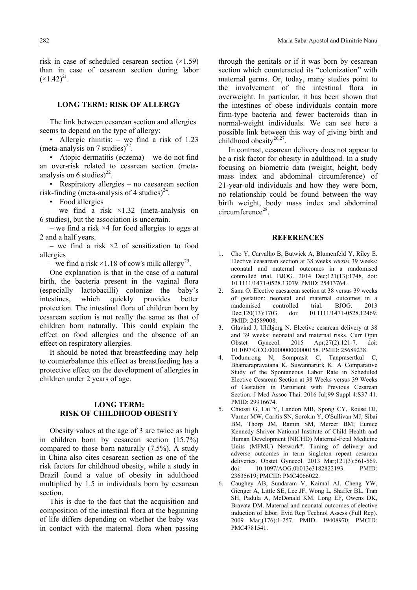risk in case of scheduled cesarean section  $(\times 1.59)$ than in case of cesarean section during labor  $(x1.42)^{21}$ .

# **LONG TERM: RISK OF ALLERGY**

 The link between cesarean section and allergies seems to depend on the type of allergy:

• Allergic rhinitis: – we find a risk of 1.23 (meta-analysis on 7 studies)<sup>22</sup>.

• Atopic dermatitis (eczema) – we do not find an over-risk related to cesarean section (metaanalysis on 6 studies) $^{22}$ .

• Respiratory allergies – no caesarean section risk-finding (meta-analysis of 4 studies)<sup>24</sup>.

• Food allergies

– we find a risk  $\times$ 1.32 (meta-analysis on 6 studies), but the association is uncertain.

– we find a risk  $\times$ 4 for food allergies to eggs at 2 and a half years.

– we find a risk  $\times$ 2 of sensitization to food allergies

– we find a risk  $\times$ 1.18 of cow's milk allergy<sup>25</sup>.

 One explanation is that in the case of a natural birth, the bacteria present in the vaginal flora (especially lactobacilli) colonize the baby's intestines, which quickly provides better protection. The intestinal flora of children born by cesarean section is not really the same as that of children born naturally. This could explain the effect on food allergies and the absence of an effect on respiratory allergies.

 It should be noted that breastfeeding may help to counterbalance this effect as breastfeeding has a protective effect on the development of allergies in children under 2 years of age.

# **LONG TERM: RISK OF CHILDHOOD OBESITY**

 Obesity values at the age of 3 are twice as high in children born by cesarean section (15.7%) compared to those born naturally (7.5%). A study in China also cites cesarean section as one of the risk factors for childhood obesity, while a study in Brazil found a value of obesity in adulthood multiplied by 1.5 in individuals born by cesarean section.

 This is due to the fact that the acquisition and composition of the intestinal flora at the beginning of life differs depending on whether the baby was in contact with the maternal flora when passing

through the genitals or if it was born by cesarean section which counteracted its "colonization" with maternal germs. Or, today, many studies point to the involvement of the intestinal flora in overweight. In particular, it has been shown that the intestines of obese individuals contain more firm-type bacteria and fewer bacteroids than in normal-weight individuals. We can see here a possible link between this way of giving birth and childhood obesity $26,27$ .

 In contrast, cesarean delivery does not appear to be a risk factor for obesity in adulthood. In a study focusing on biometric data (weight, height, body mass index and abdominal circumference) of 21-year-old individuals and how they were born, no relationship could be found between the way birth weight, body mass index and abdominal circumference<sup>28</sup>.

#### **REFERENCES**

- 1. Cho Y, Carvalho B, Butwick A, Blumenfeld Y, Riley E. Elective ceasarean section at 38 weeks *versus* 39 weeks: neonatal and maternal outcomes in a randomised controlled trial. BJOG. 2014 Dec;121(13):1748. doi: 10.1111/1471-0528.13079. PMID: 25413764.
- 2. Sanu O. Elective caesarean section at 38 versus 39 weeks of gestation: neonatal and maternal outcomes in a randomised controlled trial. BJOG. 2013 Dec:120(13):1703. doi: 10.1111/1471-0528.12469. PMID: 24589008.
- 3. Glavind J, Uldbjerg N. Elective cesarean delivery at 38 and 39 weeks: neonatal and maternal risks. Curr Opin Obstet Gynecol. 2015 Apr;27(2):121-7. doi: 10.1097/GCO.0000000000000158. PMID: 25689238.
- 4. Todumrong N, Somprasit C, Tanprasertkul C, Bhamarapravatana K, Suwannarurk K. A Comparative Study of the Spontaneous Labor Rate in Scheduled Elective Cesarean Section at 38 Weeks versus 39 Weeks of Gestation in Parturient with Previous Cesarean Section. J Med Assoc Thai. 2016 Jul;99 Suppl 4:S37-41. PMID: 29916674.
- 5. Chiossi G, Lai Y, Landon MB, Spong CY, Rouse DJ, Varner MW, Caritis SN, Sorokin Y, O'Sullivan MJ, Sibai BM, Thorp JM, Ramin SM, Mercer BM; Eunice Kennedy Shriver National Institute of Child Health and Human Development (NICHD) Maternal-Fetal Medicine Units (MFMU) Network\*. Timing of delivery and adverse outcomes in term singleton repeat cesarean deliveries. Obstet Gynecol. 2013 Mar;121(3):561-569. doi: 10.1097/AOG.0b013e3182822193. PMID: 23635619; PMCID: PMC4066022.
- 6. Caughey AB, Sundaram V, Kaimal AJ, Cheng YW, Gienger A, Little SE, Lee JF, Wong L, Shaffer BL, Tran SH, Padula A, McDonald KM, Long EF, Owens DK, Bravata DM. Maternal and neonatal outcomes of elective induction of labor. Evid Rep Technol Assess (Full Rep). 2009 Mar;(176):1-257. PMID: 19408970; PMCID: PMC4781541.